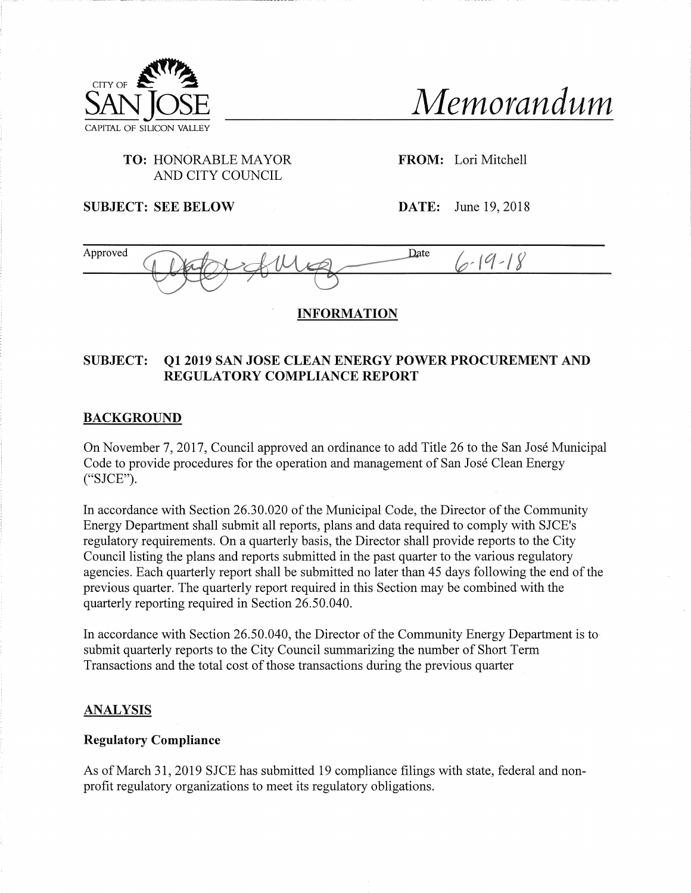

SANjOSE *Memorandum*

# **TO:** HONORABLE MAYOR AND CITY COUNCIL

**FROM:** Lori Mitchell

**SUBJECT: SEE BELOW DATE:** June 19, 2018

Approved A A A Date  $6 - 19 - 18$ \_\_\_\_\_\_\_\_

## **INFORMATION**

# **SUBJECT: Q1 2019 SAN JOSE CLEAN ENERGY POWER PROCUREMENT AND REGULATORY COMPLIANCE REPORT**

### **BACKGROUND**

On November 7, 2017, Council approved an ordinance to add Title 26 to the San Jose Municipal Code to provide procedures for the operation and management of San Jose Clean Energy ("SJCE").

In accordance with Section 26.30.020 of the Municipal Code, the Director of the Community Energy Department shall submit all reports, plans and data required to comply with SJCE's regulatory requirements. On a quarterly basis, the Director shall provide reports to the City Council listing the plans and reports submitted in the past quarter to the various regulatory agencies. Each quarterly report shall be submitted no later than 45 days following the end of the previous quarter. The quarterly report required in this Section may be combined with the quarterly reporting required in Section 26.50.040.

In accordance with Section 26.50.040, the Director of the Community Energy Department is to submit quarterly reports to the City Council summarizing the number of Short Term Transactions and the total cost ofthose transactions during the previous quarter

### **ANALYSIS**

#### **Regulatory Compliance**

As of March 31, 2019 SJCE has submitted 19 compliance filings with state, federal and nonprofit regulatory organizations to meet its regulatory obligations.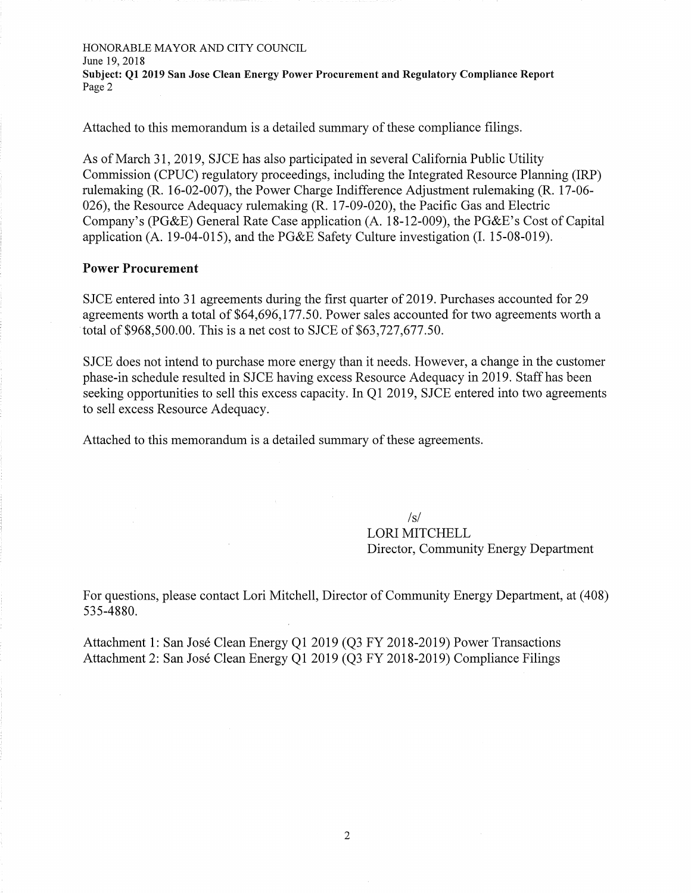HONORABLE MAYOR AND CITY COUNCIL June 19, 2018 **Subject: Q1 2019 San Jose Clean Energy Power Procurement and Regulatory Compliance Report** Page 2

Attached to this memorandum is a detailed summary of these compliance filings.

As of March 31, 2019, SJCE has also participated in several California Public Utility Commission (CPUC) regulatory proceedings, including the Integrated Resource Planning (IRP) rulemaking (R. 16-02-007), the Power Charge Indifference Adjustment rulemaking (R. 17-06- 026), the Resource Adequacy rulemaking (R. 17-09-020), the Pacific Gas and Electric Company's (PG&E) General Rate Case application (A. 18-12-009), the PG&E's Cost of Capital application (A. 19-04-015), and the PG&E Safety Culture investigation (I. 15-08-019).

#### **Power Procurement**

SJCE entered into 31 agreements during the first quarter of 2019. Purchases accounted for 29 agreements worth a total of \$64,696,177.50. Power sales accounted for two agreements worth a total of \$968,500.00. This is a net cost to SJCE of \$63,727,677.50.

SJCE does not intend to purchase more energy than it needs. However, a change in the customer phase-in schedule resulted in SJCE having excess Resource Adequacy in 2019. Staff has been seeking opportunities to sell this excess capacity. In Q1 2019, SJCE entered into two agreements to sell excess Resource Adequacy.

Attached to this memorandum is a detailed summary of these agreements.

 $\sqrt{s}$ LORI MITCHELL Director, Community Energy Department

For questions, please contact Lori Mitchell, Director of Community Energy Department, at (408) 535-4880.

Attachment 1: San Jose Clean Energy Q1 2019 (Q3 FY 2018-2019) Power Transactions Attachment 2: San Jose Clean Energy Q1 2019 (Q3 FY 2018-2019) Compliance Filings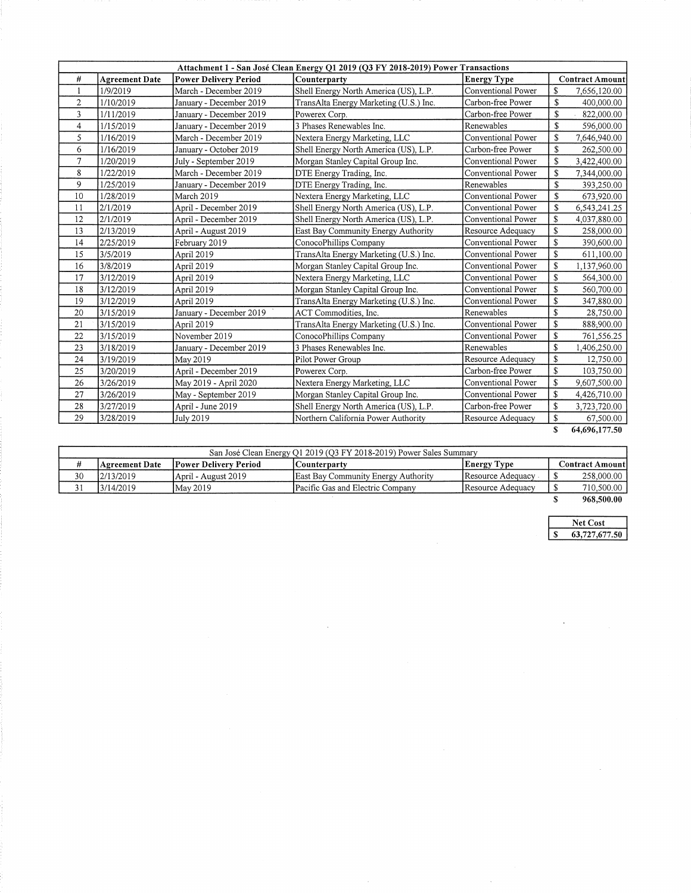|                | Attachment 1 - San José Clean Energy Q1 2019 (Q3 FY 2018-2019) Power Transactions |                              |                                        |                    |                          |               |
|----------------|-----------------------------------------------------------------------------------|------------------------------|----------------------------------------|--------------------|--------------------------|---------------|
| $\#$           | <b>Agreement Date</b>                                                             | <b>Power Delivery Period</b> | Counterparty                           | <b>Energy Type</b> | <b>Contract Amount</b>   |               |
| -1             | 1/9/2019                                                                          | March - December 2019        | Shell Energy North America (US), L.P.  | Conventional Power | \$                       | 7,656,120.00  |
| $\mathbf{2}$   | 1/10/2019                                                                         | January - December 2019      | TransAlta Energy Marketing (U.S.) Inc. | Carbon-free Power  | $\mathbf S$              | 400,000.00    |
| $\overline{3}$ | 1/11/2019                                                                         | January - December 2019      | Powerex Corp.                          | Carbon-free Power  | \$                       | 822,000.00    |
| 4              | 1/15/2019                                                                         | January - December 2019      | 3 Phases Renewables Inc.               | Renewables         | \$                       | 596,000.00    |
| 5              | 1/16/2019                                                                         | March - December 2019        | Nextera Energy Marketing, LLC          | Conventional Power | \$                       | 7,646,940.00  |
| 6              | 1/16/2019                                                                         | January - October 2019       | Shell Energy North America (US), L.P.  | Carbon-free Power  | $\mathbf S$              | 262,500.00    |
| $\overline{7}$ | 1/20/2019                                                                         | July - September 2019        | Morgan Stanley Capital Group Inc.      | Conventional Power | $\mathbf S$              | 3,422,400.00  |
| 8              | 1/22/2019                                                                         | March - December 2019        | DTE Energy Trading, Inc.               | Conventional Power | $\mathbf S$              | 7,344,000.00  |
| 9              | 1/25/2019                                                                         | January - December 2019      | DTE Energy Trading, Inc.               | Renewables         | $\overline{\mathcal{S}}$ | 393,250.00    |
| 10             | 1/28/2019                                                                         | March 2019                   | Nextera Energy Marketing, LLC          | Conventional Power | \$                       | 673,920.00    |
| 11             | 2/1/2019                                                                          | April - December 2019        | Shell Energy North America (US), L.P.  | Conventional Power | \$                       | 6,543,241.25  |
| 12             | 2/1/2019                                                                          | April - December 2019        | Shell Energy North America (US), L.P.  | Conventional Power | \$                       | 4,037,880.00  |
| 13             | 2/13/2019                                                                         | April - August 2019          | East Bay Community Energy Authority    | Resource Adequacy  | \$                       | 258,000.00    |
| 14             | 2/25/2019                                                                         | February 2019                | ConocoPhillips Company                 | Conventional Power | \$                       | 390,600.00    |
| 15             | 3/5/2019                                                                          | April 2019                   | TransAlta Energy Marketing (U.S.) Inc. | Conventional Power | \$                       | 611,100.00    |
| 16             | 3/8/2019                                                                          | April 2019                   | Morgan Stanley Capital Group Inc.      | Conventional Power | \$                       | 1,137,960.00  |
| 17             | 3/12/2019                                                                         | April 2019                   | Nextera Energy Marketing, LLC          | Conventional Power | \$                       | 564,300.00    |
| 18             | 3/12/2019                                                                         | April 2019                   | Morgan Stanley Capital Group Inc.      | Conventional Power | \$                       | 560,700.00    |
| 19             | 3/12/2019                                                                         | April 2019                   | TransAlta Energy Marketing (U.S.) Inc. | Conventional Power | \$                       | 347,880.00    |
| 20             | 3/15/2019                                                                         | January - December 2019      | ACT Commodities, Inc.                  | Renewables         | \$                       | 28,750.00     |
| 21             | 3/15/2019                                                                         | April 2019                   | TransAlta Energy Marketing (U.S.) Inc. | Conventional Power | \$                       | 888,900.00    |
| 22             | 3/15/2019                                                                         | November 2019                | ConocoPhillips Company                 | Conventional Power | \$                       | 761,556.25    |
| 23             | 3/18/2019                                                                         | January - December 2019      | 3 Phases Renewables Inc.               | Renewables         | \$                       | 1,406,250.00  |
| 24             | 3/19/2019                                                                         | May 2019                     | Pilot Power Group                      | Resource Adequacy  | \$                       | 12,750.00     |
| 25             | 3/20/2019                                                                         | April - December 2019        | Powerex Corp.                          | Carbon-free Power  | \$                       | 103,750.00    |
| 26             | 3/26/2019                                                                         | May 2019 - April 2020        | Nextera Energy Marketing, LLC          | Conventional Power | \$                       | 9,607,500.00  |
| 27             | 3/26/2019                                                                         | May - September 2019         | Morgan Stanley Capital Group Inc.      | Conventional Power | \$                       | 4,426,710.00  |
| 28             | 3/27/2019                                                                         | April - June 2019            | Shell Energy North America (US), L.P.  | Carbon-free Power  | \$                       | 3,723,720.00  |
| 29             | 3/28/2019                                                                         | July 2019                    | Northern California Power Authority    | Resource Adequacy  | \$                       | 67,500.00     |
|                |                                                                                   |                              |                                        |                    | $\mathbf S$              | 64,696,177.50 |

| San José Clean Energy Q1 2019 (Q3 FY 2018-2019) Power Sales Summary |                |                              |                                     |                    |  |                        |
|---------------------------------------------------------------------|----------------|------------------------------|-------------------------------------|--------------------|--|------------------------|
|                                                                     | Agreement Date | <b>Power Delivery Period</b> | Counterparty                        | <b>Energy Type</b> |  | <b>Contract Amount</b> |
| 30                                                                  | 12/13/2019     | April - August 2019          | East Bay Community Energy Authority | Resource Adequacy  |  | 258,000.00             |
| 31                                                                  | 3/14/2019      | May 2019                     | Pacific Gas and Electric Company    | Resource Adequacy  |  | 710,500.00             |
|                                                                     |                |                              |                                     |                    |  | .                      |

 $\sim$ 

 $\hat{\boldsymbol{\beta}}$ 

**\$ 968,500.00**

 $\bar{z}$ 

**Net Cost \$ 63,727,677.50**

 $\ddot{\phantom{1}}$ 

 $\hat{\boldsymbol{\theta}}$